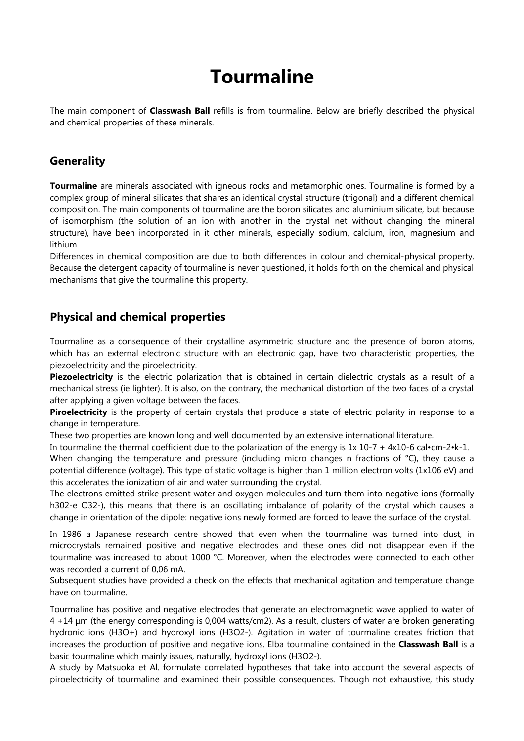## **Tourmaline**

The main component of **Classwash Ball** refills is from tourmaline. Below are briefly described the physical and chemical properties of these minerals.

## **Generality**

**Tourmaline** are minerals associated with igneous rocks and metamorphic ones. Tourmaline is formed by a complex group of mineral silicates that shares an identical crystal structure (trigonal) and a different chemical composition. The main components of tourmaline are the boron silicates and aluminium silicate, but because of isomorphism (the solution of an ion with another in the crystal net without changing the mineral structure), have been incorporated in it other minerals, especially sodium, calcium, iron, magnesium and lithium.

Differences in chemical composition are due to both differences in colour and chemical-physical property. Because the detergent capacity of tourmaline is never questioned, it holds forth on the chemical and physical mechanisms that give the tourmaline this property.

## **Physical and chemical properties**

Tourmaline as a consequence of their crystalline asymmetric structure and the presence of boron atoms, which has an external electronic structure with an electronic gap, have two characteristic properties, the piezoelectricity and the piroelectricity.

Piezoelectricity is the electric polarization that is obtained in certain dielectric crystals as a result of a mechanical stress (ie lighter). It is also, on the contrary, the mechanical distortion of the two faces of a crystal after applying a given voltage between the faces.

**Piroelectricity** is the property of certain crystals that produce a state of electric polarity in response to a change in temperature.

These two properties are known long and well documented by an extensive international literature.

In tourmaline the thermal coefficient due to the polarization of the energy is 1x 10-7 + 4x10-6 cal•cm-2•k-1.

When changing the temperature and pressure (including micro changes n fractions of °C), they cause a potential difference (voltage). This type of static voltage is higher than 1 million electron volts (1x106 eV) and this accelerates the ionization of air and water surrounding the crystal.

The electrons emitted strike present water and oxygen molecules and turn them into negative ions (formally h302-e O32-), this means that there is an oscillating imbalance of polarity of the crystal which causes a change in orientation of the dipole: negative ions newly formed are forced to leave the surface of the crystal.

In 1986 a Japanese research centre showed that even when the tourmaline was turned into dust, in microcrystals remained positive and negative electrodes and these ones did not disappear even if the tourmaline was increased to about 1000 °C. Moreover, when the electrodes were connected to each other was recorded a current of 0,06 mA.

Subsequent studies have provided a check on the effects that mechanical agitation and temperature change have on tourmaline.

Tourmaline has positive and negative electrodes that generate an electromagnetic wave applied to water of 4 +14 μm (the energy corresponding is 0,004 watts/cm2). As a result, clusters of water are broken generating hydronic ions (H3O+) and hydroxyl ions (H3O2-). Agitation in water of tourmaline creates friction that increases the production of positive and negative ions. Elba tourmaline contained in the **Classwash Ball** is a basic tourmaline which mainly issues, naturally, hydroxyl ions (H3O2-).

A study by Matsuoka et Al. formulate correlated hypotheses that take into account the several aspects of piroelectricity of tourmaline and examined their possible consequences. Though not exhaustive, this study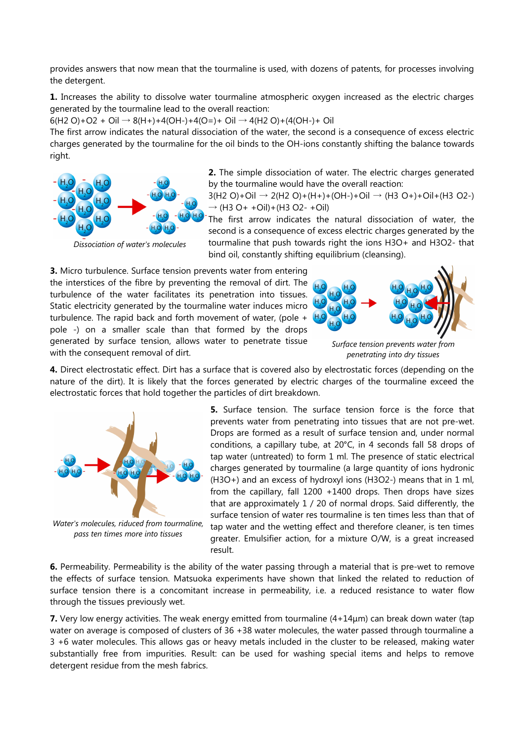provides answers that now mean that the tourmaline is used, with dozens of patents, for processes involving the detergent.

**1.** Increases the ability to dissolve water tourmaline atmospheric oxygen increased as the electric charges generated by the tourmaline lead to the overall reaction:

 $6(H2 O)+O2 + Oi \rightarrow 8(H+) + 4(OH-) + 4(O=)+ Oi \rightarrow 4(H2 O) + (4(OH-) + Oi)$ 

The first arrow indicates the natural dissociation of the water, the second is a consequence of excess electric charges generated by the tourmaline for the oil binds to the OH-ions constantly shifting the balance towards right.



*Dissociation of water's molecules*

**2.** The simple dissociation of water. The electric charges generated by the tourmaline would have the overall reaction:

 $3(H2 O)+Oi \rightarrow 2(H2 O)+(H+)+(OH-)+Oi \rightarrow (H3 O+) +Oi+(H3 O2-)$  $\rightarrow$  (H3 O + + Oil) + (H3 O 2 - + Oil)

The first arrow indicates the natural dissociation of water, the second is a consequence of excess electric charges generated by the tourmaline that push towards right the ions H3O+ and H3O2- that bind oil, constantly shifting equilibrium (cleansing).

**3.** Micro turbulence. Surface tension prevents water from entering the interstices of the fibre by preventing the removal of dirt. The turbulence of the water facilitates its penetration into tissues. Static electricity generated by the tourmaline water induces micro turbulence. The rapid back and forth movement of water, (pole + pole -) on a smaller scale than that formed by the drops generated by surface tension, allows water to penetrate tissue with the consequent removal of dirt.



*Surface tension prevents water from penetrating into dry tissues*

**4.** Direct electrostatic effect. Dirt has a surface that is covered also by electrostatic forces (depending on the nature of the dirt). It is likely that the forces generated by electric charges of the tourmaline exceed the electrostatic forces that hold together the particles of dirt breakdown.



*Water's molecules, riduced from tourmaline, pass ten times more into tissues*

**5.** Surface tension. The surface tension force is the force that prevents water from penetrating into tissues that are not pre-wet. Drops are formed as a result of surface tension and, under normal conditions, a capillary tube, at 20°C, in 4 seconds fall 58 drops of tap water (untreated) to form 1 ml. The presence of static electrical charges generated by tourmaline (a large quantity of ions hydronic (H3O+) and an excess of hydroxyl ions (H3O2-) means that in 1 ml, from the capillary, fall 1200 +1400 drops. Then drops have sizes that are approximately 1 / 20 of normal drops. Said differently, the surface tension of water res tourmaline is ten times less than that of tap water and the wetting effect and therefore cleaner, is ten times greater. Emulsifier action, for a mixture O/W, is a great increased result.

**6.** Permeability. Permeability is the ability of the water passing through a material that is pre-wet to remove the effects of surface tension. Matsuoka experiments have shown that linked the related to reduction of surface tension there is a concomitant increase in permeability, i.e. a reduced resistance to water flow through the tissues previously wet.

**7.** Very low energy activities. The weak energy emitted from tourmaline (4+14μm) can break down water (tap water on average is composed of clusters of 36 +38 water molecules, the water passed through tourmaline a 3 +6 water molecules. This allows gas or heavy metals included in the cluster to be released, making water substantially free from impurities. Result: can be used for washing special items and helps to remove detergent residue from the mesh fabrics.